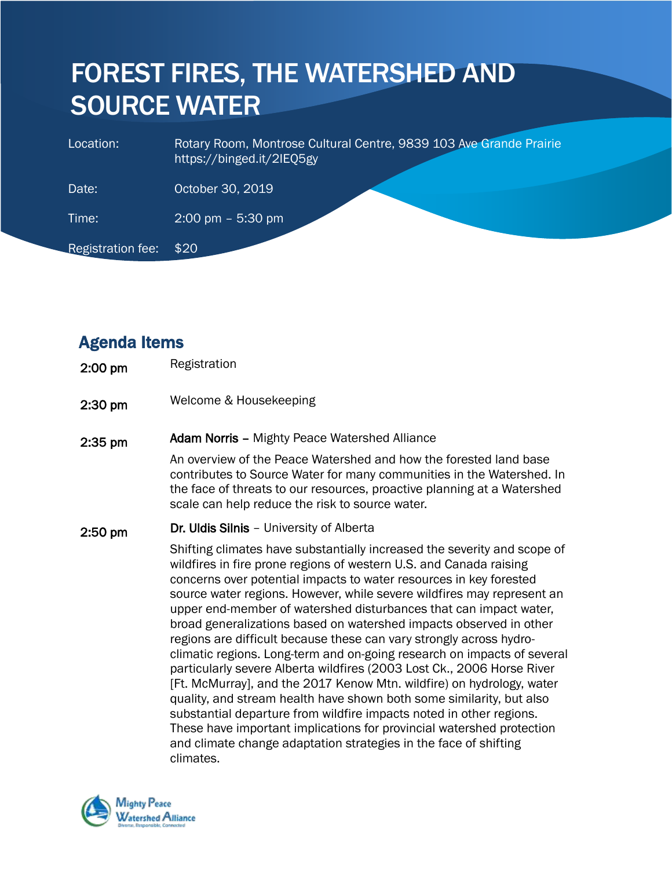# FOREST FIRES, THE WATERSHED AND SOURCE WATER

| Location:         | Rotary Room, Montrose Cultural Centre, 9839 103 Ave Grande Prairie<br>https://binged.it/2IEQ5gy |
|-------------------|-------------------------------------------------------------------------------------------------|
| Date:             | October 30, 2019                                                                                |
| Time:             | $2:00 \text{ pm} - 5:30 \text{ pm}$                                                             |
| Registration fee: | \$20                                                                                            |

## Agenda Items

- 2:00 pm Registration
- 2:30 pm Welcome & Housekeeping

### 2:35 pm Adam Norris – Mighty Peace Watershed Alliance

An overview of the Peace Watershed and how the forested land base contributes to Source Water for many communities in the Watershed. In the face of threats to our resources, proactive planning at a Watershed scale can help reduce the risk to source water.

### 2:50 pm Dr. Uldis Silnis - University of Alberta

Shifting climates have substantially increased the severity and scope of wildfires in fire prone regions of western U.S. and Canada raising concerns over potential impacts to water resources in key forested source water regions. However, while severe wildfires may represent an upper end-member of watershed disturbances that can impact water, broad generalizations based on watershed impacts observed in other regions are difficult because these can vary strongly across hydroclimatic regions. Long-term and on-going research on impacts of several particularly severe Alberta wildfires (2003 Lost Ck., 2006 Horse River [Ft. McMurray], and the 2017 Kenow Mtn. wildfire) on hydrology, water quality, and stream health have shown both some similarity, but also substantial departure from wildfire impacts noted in other regions. These have important implications for provincial watershed protection and climate change adaptation strategies in the face of shifting climates.